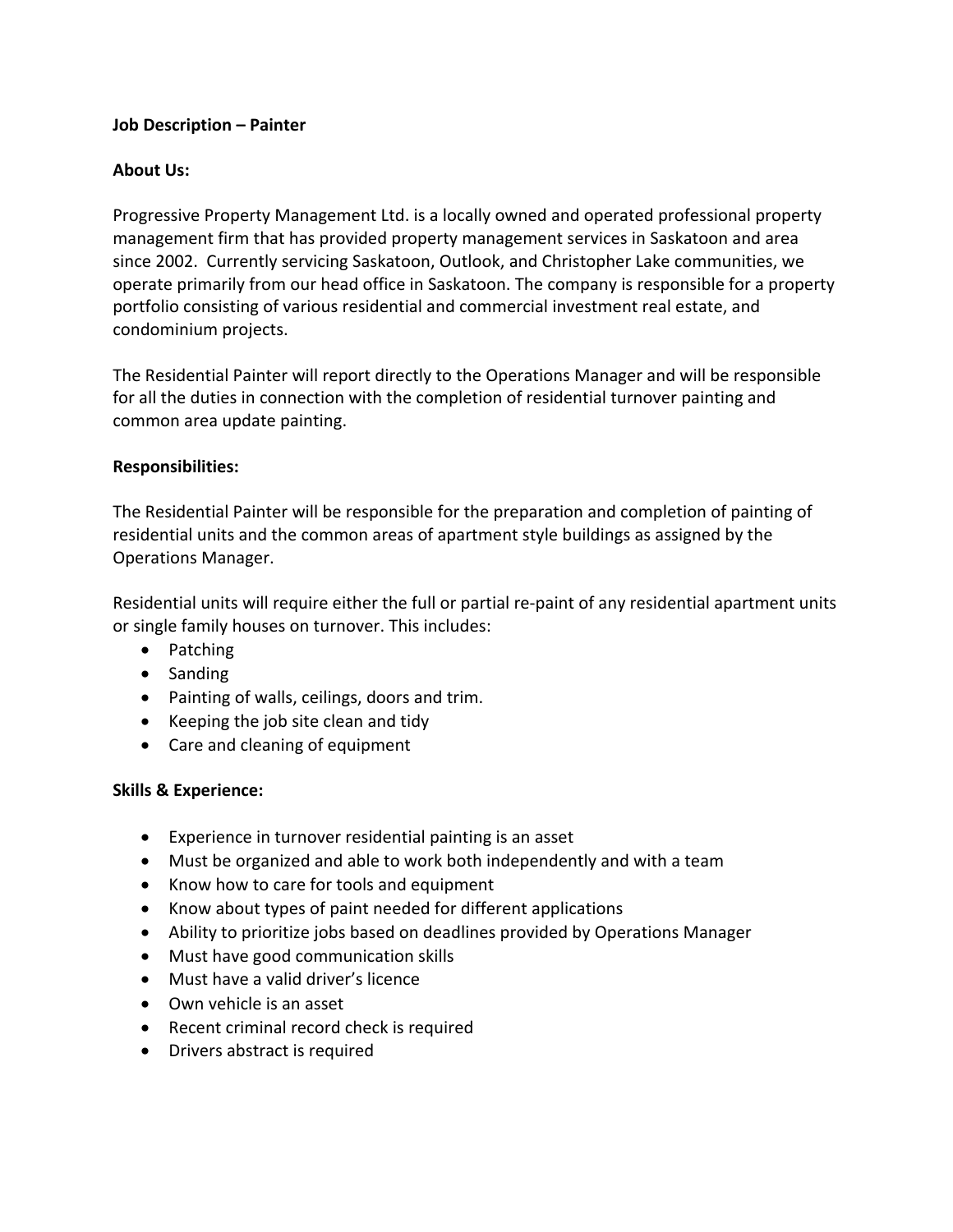## **Job Description – Painter**

## **About Us:**

Progressive Property Management Ltd. is a locally owned and operated professional property management firm that has provided property management services in Saskatoon and area since 2002. Currently servicing Saskatoon, Outlook, and Christopher Lake communities, we operate primarily from our head office in Saskatoon. The company is responsible for a property portfolio consisting of various residential and commercial investment real estate, and condominium projects.

The Residential Painter will report directly to the Operations Manager and will be responsible for all the duties in connection with the completion of residential turnover painting and common area update painting.

### **Responsibilities:**

The Residential Painter will be responsible for the preparation and completion of painting of residential units and the common areas of apartment style buildings as assigned by the Operations Manager.

Residential units will require either the full or partial re-paint of any residential apartment units or single family houses on turnover. This includes:

- Patching
- Sanding
- Painting of walls, ceilings, doors and trim.
- Keeping the job site clean and tidy
- Care and cleaning of equipment

### **Skills & Experience:**

- Experience in turnover residential painting is an asset
- Must be organized and able to work both independently and with a team
- Know how to care for tools and equipment
- Know about types of paint needed for different applications
- Ability to prioritize jobs based on deadlines provided by Operations Manager
- Must have good communication skills
- Must have a valid driver's licence
- Own vehicle is an asset
- Recent criminal record check is required
- Drivers abstract is required